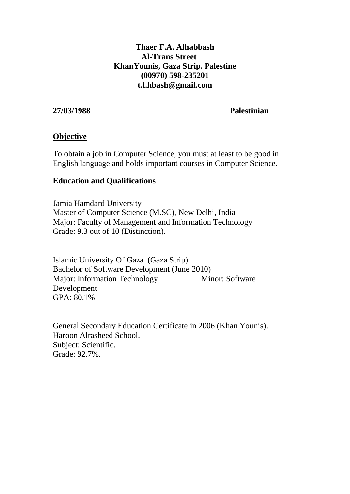## **Thaer F.A. Alhabbash Al-Trans Street KhanYounis, Gaza Strip, Palestine (00970) 598-235201 t.f.hbash@gmail.com**

#### **27/03/1988 Palestinian**

#### **Objective**

To obtain a job in Computer Science, you must at least to be good in English language and holds important courses in Computer Science.

#### **Education and Qualifications**

Jamia Hamdard University Master of Computer Science (M.SC), New Delhi, India Major: Faculty of Management and Information Technology Grade: 9.3 out of 10 (Distinction).

Islamic University Of Gaza (Gaza Strip) Bachelor of Software Development (June 2010) Major: Information Technology Minor: Software Development GPA: 80.1%

General Secondary Education Certificate in 2006 (Khan Younis). Haroon Alrasheed School. Subject: Scientific. Grade: 92.7%.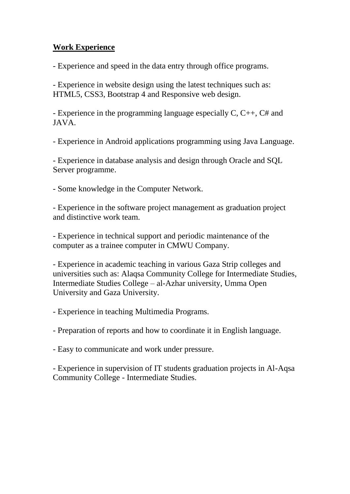## **Work Experience**

- Experience and speed in the data entry through office programs.

- Experience in website design using the latest techniques such as: HTML5, CSS3, Bootstrap 4 and Responsive web design.

- Experience in the programming language especially C, C++, C# and JAVA.

- Experience in Android applications programming using Java Language.

- Experience in database analysis and design through Oracle and SQL Server programme.

- Some knowledge in the Computer Network.

- Experience in the software project management as graduation project and distinctive work team.

- Experience in technical support and periodic maintenance of the computer as a trainee computer in CMWU Company.

- Experience in academic teaching in various Gaza Strip colleges and universities such as: Alaqsa Community College for Intermediate Studies, Intermediate Studies College – al-Azhar university, Umma Open University and Gaza University.

- Experience in teaching Multimedia Programs.

- Preparation of reports and how to coordinate it in English language.

- Easy to communicate and work under pressure.

- Experience in supervision of IT students graduation projects in Al-Aqsa Community College - Intermediate Studies.